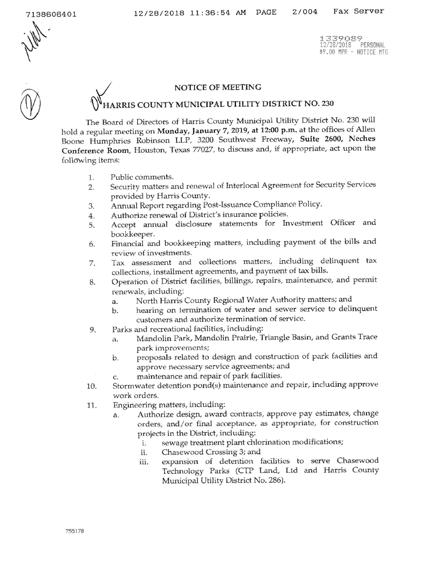7138606401



1339089 12/28/2018 PERSONAL \$9.00 MPR - NOTICE MTG

## NOTICE OF MEETING

## ARRIS COUNTY MUNICIPAL UTILITY DISTRICT NO. 230

The Board of Directors of Harris County Municipal Utility District No. 230 will hold a regular meeting on Monday, January 7, 2019, at 12:00 p.m. at the offices of Allen Boone Humphries Robinson LLP, 3200 Southwest Freeway, Suite 2600, Neches Conference Room, Houston, Texas 77027, to discuss and, if appropriate, act upon the following items:

- 1. Public comments.
- Security matters and renewal of Interlocal Agreement for Security Services  $2.$ provided by Harris County.
- Annual Report regarding Post-Issuance Compliance Policy. 3.
- Authorize renewal of District's insurance policies. 4.
- Accept annual disclosure statements for Investment Officer and 5. bookkeeper.
- Financial and bookkeeping matters, including payment of the bills and 6. review of investments.
- Tax assessment and collections matters, including delinquent tax 7. collections, installment agreements, and payment of tax bills.
- Operation of District facilities, billings, repairs, maintenance, and permit 8. renewals, including:
	- North Harris County Regional Water Authority matters; and a.
	- hearing on termination of water and sewer service to delinquent b. customers and authorize termination of service.
- Parks and recreational facilities, including: 9.
	- Mandolin Park, Mandolin Prairie, Triangle Basin, and Grants Trace a. park improvements;
	- proposals related to design and construction of park facilities and b. approve necessary service agreements; and
	- maintenance and repair of park facilities. C.
- Stormwater detention pond(s) maintenance and repair, including approve 10. work orders.
- Engineering matters, including: 11.
	- Authorize design, award contracts, approve pay estimates, change a. orders, and/or final acceptance, as appropriate, for construction projects in the District, including:
		- sewage treatment plant chlorination modifications;  $\mathbf{i}$ .
		- Chasewood Crossing 3; and ii.
		- expansion of detention facilities to serve Chasewood iii. Technology Parks (CTP Land, Ltd and Harris County Municipal Utility District No. 286).